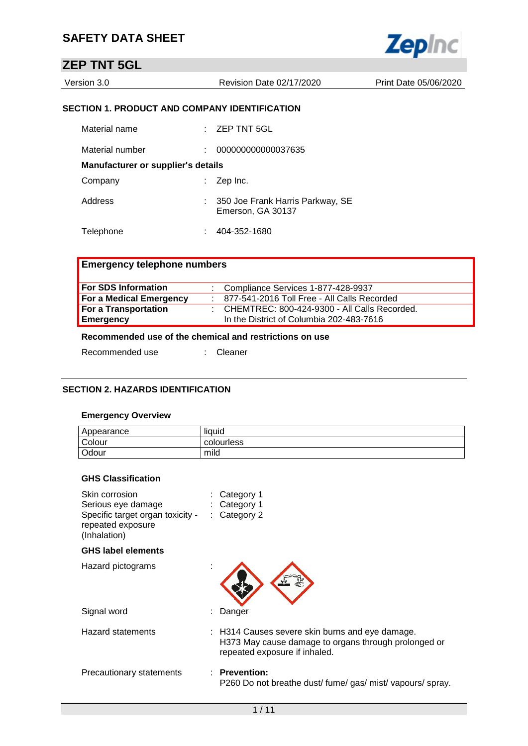|--|--|--|--|

## **ZEP TNT 5GL**

| Version 3.0 | Revision Date 02/17/2020 | Print Date 05/06/2020 |
|-------------|--------------------------|-----------------------|
|             |                          |                       |

#### **SECTION 1. PRODUCT AND COMPANY IDENTIFICATION**

| Material name                             | $:$ ZEP TNT 5GL                                         |
|-------------------------------------------|---------------------------------------------------------|
| Material number                           | 000000000000037635                                      |
| <b>Manufacturer or supplier's details</b> |                                                         |
| Company                                   | $\therefore$ Zep Inc.                                   |
| Address                                   | : 350 Joe Frank Harris Parkway, SE<br>Emerson, GA 30137 |
| Telephone                                 | 404-352-1680                                            |

#### **Emergency telephone numbers**

| <b>For SDS Information</b>     | : Compliance Services 1-877-428-9937                |
|--------------------------------|-----------------------------------------------------|
| <b>For a Medical Emergency</b> | $: 877 - 541 - 2016$ Toll Free - All Calls Recorded |
| For a Transportation           | : CHEMTREC: 800-424-9300 - All Calls Recorded.      |
| Emergency                      | In the District of Columbia 202-483-7616            |

#### **Recommended use of the chemical and restrictions on use**

Recommended use : Cleaner

#### **SECTION 2. HAZARDS IDENTIFICATION**

#### **Emergency Overview**

| Appearance | <br>liauid |
|------------|------------|
| Colour     | colourless |
| Odour      | mild       |

#### **GHS Classification**

| Skin corrosion<br>Serious eye damage<br>Specific target organ toxicity -<br>repeated exposure<br>(Inhalation) | Category 1<br>Category 1<br>$:$ Category 2                                                                                               |
|---------------------------------------------------------------------------------------------------------------|------------------------------------------------------------------------------------------------------------------------------------------|
| <b>GHS label elements</b>                                                                                     |                                                                                                                                          |
| Hazard pictograms                                                                                             |                                                                                                                                          |
| Signal word                                                                                                   | : Danger                                                                                                                                 |
| Hazard statements                                                                                             | : H314 Causes severe skin burns and eye damage.<br>H373 May cause damage to organs through prolonged or<br>repeated exposure if inhaled. |
| Precautionary statements                                                                                      | $:$ Prevention:<br>P260 Do not breathe dust/ fume/gas/ mist/ vapours/ spray.                                                             |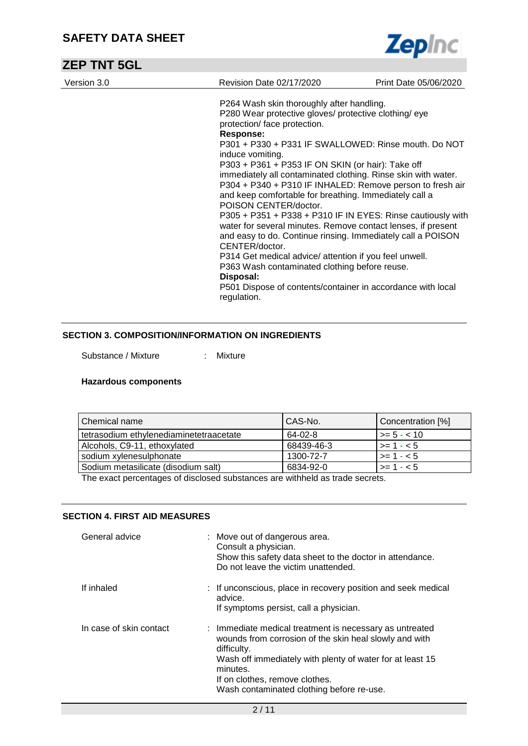

| <b>ZEP TNT 5GL</b> |                                                                                                                                                                                                                                                                                                                                                                                                                                                                                                                                                                                                                                                                                                                                                                                                                                                                                                                                |                       |
|--------------------|--------------------------------------------------------------------------------------------------------------------------------------------------------------------------------------------------------------------------------------------------------------------------------------------------------------------------------------------------------------------------------------------------------------------------------------------------------------------------------------------------------------------------------------------------------------------------------------------------------------------------------------------------------------------------------------------------------------------------------------------------------------------------------------------------------------------------------------------------------------------------------------------------------------------------------|-----------------------|
| Version 3.0        | Revision Date 02/17/2020                                                                                                                                                                                                                                                                                                                                                                                                                                                                                                                                                                                                                                                                                                                                                                                                                                                                                                       | Print Date 05/06/2020 |
|                    | P264 Wash skin thoroughly after handling.<br>P280 Wear protective gloves/ protective clothing/ eye<br>protection/ face protection.<br><b>Response:</b><br>P301 + P330 + P331 IF SWALLOWED: Rinse mouth. Do NOT<br>induce vomiting.<br>P303 + P361 + P353 IF ON SKIN (or hair): Take off<br>immediately all contaminated clothing. Rinse skin with water.<br>P304 + P340 + P310 IF INHALED: Remove person to fresh air<br>and keep comfortable for breathing. Immediately call a<br>POISON CENTER/doctor.<br>P305 + P351 + P338 + P310 IF IN EYES: Rinse cautiously with<br>water for several minutes. Remove contact lenses, if present<br>and easy to do. Continue rinsing. Immediately call a POISON<br>CENTER/doctor.<br>P314 Get medical advice/ attention if you feel unwell.<br>P363 Wash contaminated clothing before reuse.<br>Disposal:<br>P501 Dispose of contents/container in accordance with local<br>regulation. |                       |

#### **SECTION 3. COMPOSITION/INFORMATION ON INGREDIENTS**

Substance / Mixture : Mixture

#### **Hazardous components**

| l Chemical name                         | CAS-No.    | Concentration [%]       |
|-----------------------------------------|------------|-------------------------|
| tetrasodium ethylenediaminetetraacetate | 64-02-8    | $\ge$ = 5 - < 10        |
| Alcohols, C9-11, ethoxylated            | 68439-46-3 | $\vert \ge 1 - 5 \vert$ |
| sodium xylenesulphonate                 | 1300-72-7  | $\vert$ >= 1 - < 5      |
| Sodium metasilicate (disodium salt)     | 6834-92-0  | $\vert \rangle = 1 - 5$ |

The exact percentages of disclosed substances are withheld as trade secrets.

#### **SECTION 4. FIRST AID MEASURES**

| General advice          | : Move out of dangerous area.<br>Consult a physician.<br>Show this safety data sheet to the doctor in attendance.<br>Do not leave the victim unattended.                                                                                                                                 |
|-------------------------|------------------------------------------------------------------------------------------------------------------------------------------------------------------------------------------------------------------------------------------------------------------------------------------|
| If inhaled              | : If unconscious, place in recovery position and seek medical<br>advice.<br>If symptoms persist, call a physician.                                                                                                                                                                       |
| In case of skin contact | : Immediate medical treatment is necessary as untreated<br>wounds from corrosion of the skin heal slowly and with<br>difficulty.<br>Wash off immediately with plenty of water for at least 15<br>minutes.<br>If on clothes, remove clothes.<br>Wash contaminated clothing before re-use. |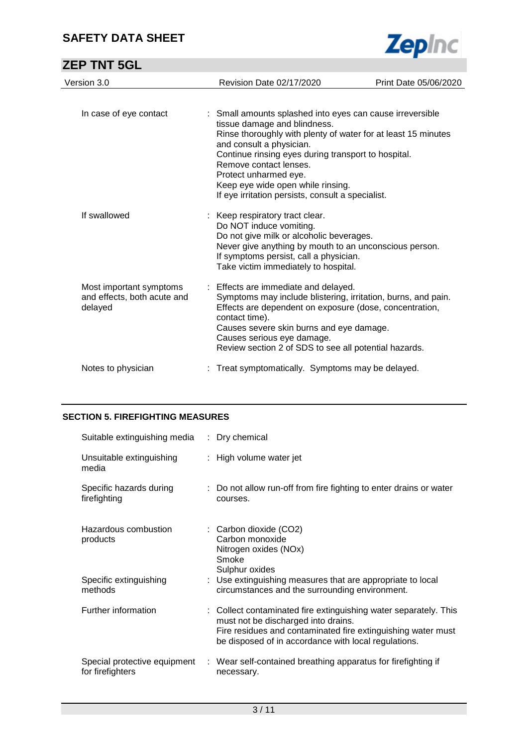|--|--|

## **ZEP TNT 5GL**

| Version 3.0                                                       | <b>Revision Date 02/17/2020</b>                                                                                                                                                                                                                                                                                               | Print Date 05/06/2020 |
|-------------------------------------------------------------------|-------------------------------------------------------------------------------------------------------------------------------------------------------------------------------------------------------------------------------------------------------------------------------------------------------------------------------|-----------------------|
| In case of eye contact                                            | : Small amounts splashed into eyes can cause irreversible                                                                                                                                                                                                                                                                     |                       |
|                                                                   | tissue damage and blindness.<br>Rinse thoroughly with plenty of water for at least 15 minutes<br>and consult a physician.<br>Continue rinsing eyes during transport to hospital.<br>Remove contact lenses.<br>Protect unharmed eye.<br>Keep eye wide open while rinsing.<br>If eye irritation persists, consult a specialist. |                       |
| If swallowed                                                      | : Keep respiratory tract clear.<br>Do NOT induce vomiting.<br>Do not give milk or alcoholic beverages.<br>Never give anything by mouth to an unconscious person.<br>If symptoms persist, call a physician.<br>Take victim immediately to hospital.                                                                            |                       |
| Most important symptoms<br>and effects, both acute and<br>delayed | : Effects are immediate and delayed.<br>Symptoms may include blistering, irritation, burns, and pain.<br>Effects are dependent on exposure (dose, concentration,<br>contact time).<br>Causes severe skin burns and eye damage.<br>Causes serious eye damage.<br>Review section 2 of SDS to see all potential hazards.         |                       |
| Notes to physician                                                | Treat symptomatically. Symptoms may be delayed.                                                                                                                                                                                                                                                                               |                       |

#### **SECTION 5. FIREFIGHTING MEASURES**

| Suitable extinguishing media                     | : Dry chemical                                                                                                                                                                                                                  |
|--------------------------------------------------|---------------------------------------------------------------------------------------------------------------------------------------------------------------------------------------------------------------------------------|
| Unsuitable extinguishing<br>media                | : High volume water jet                                                                                                                                                                                                         |
| Specific hazards during<br>firefighting          | : Do not allow run-off from fire fighting to enter drains or water<br>courses.                                                                                                                                                  |
| Hazardous combustion<br>products                 | : Carbon dioxide (CO2)<br>Carbon monoxide<br>Nitrogen oxides (NOx)<br>Smoke<br>Sulphur oxides                                                                                                                                   |
| Specific extinguishing<br>methods                | : Use extinguishing measures that are appropriate to local<br>circumstances and the surrounding environment.                                                                                                                    |
| Further information                              | : Collect contaminated fire extinguishing water separately. This<br>must not be discharged into drains.<br>Fire residues and contaminated fire extinguishing water must<br>be disposed of in accordance with local regulations. |
| Special protective equipment<br>for firefighters | : Wear self-contained breathing apparatus for firefighting if<br>necessary.                                                                                                                                                     |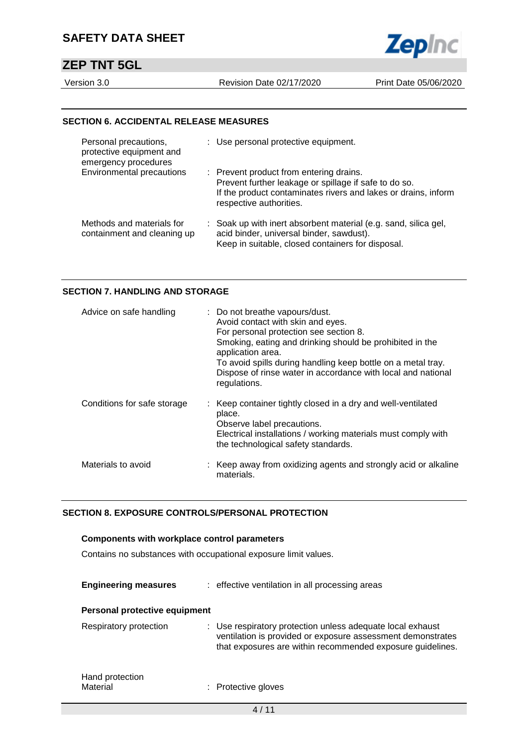## **ZEP TNT 5GL**

Version 3.0 Revision Date 02/17/2020 Print Date 05/06/2020

**Zepinc** 

#### **SECTION 6. ACCIDENTAL RELEASE MEASURES**

| Personal precautions,<br>protective equipment and<br>emergency procedures | : Use personal protective equipment.                                                                                                                                                          |
|---------------------------------------------------------------------------|-----------------------------------------------------------------------------------------------------------------------------------------------------------------------------------------------|
| Environmental precautions                                                 | : Prevent product from entering drains.<br>Prevent further leakage or spillage if safe to do so.<br>If the product contaminates rivers and lakes or drains, inform<br>respective authorities. |
| Methods and materials for<br>containment and cleaning up                  | : Soak up with inert absorbent material (e.g. sand, silica gel,<br>acid binder, universal binder, sawdust).<br>Keep in suitable, closed containers for disposal.                              |

#### **SECTION 7. HANDLING AND STORAGE**

| Advice on safe handling     | : Do not breathe vapours/dust.<br>Avoid contact with skin and eyes.<br>For personal protection see section 8.<br>Smoking, eating and drinking should be prohibited in the<br>application area.<br>To avoid spills during handling keep bottle on a metal tray.<br>Dispose of rinse water in accordance with local and national<br>regulations. |
|-----------------------------|------------------------------------------------------------------------------------------------------------------------------------------------------------------------------------------------------------------------------------------------------------------------------------------------------------------------------------------------|
| Conditions for safe storage | : Keep container tightly closed in a dry and well-ventilated<br>place.<br>Observe label precautions.<br>Electrical installations / working materials must comply with<br>the technological safety standards.                                                                                                                                   |
| Materials to avoid          | : Keep away from oxidizing agents and strongly acid or alkaline<br>materials.                                                                                                                                                                                                                                                                  |

#### **SECTION 8. EXPOSURE CONTROLS/PERSONAL PROTECTION**

#### **Components with workplace control parameters**

Contains no substances with occupational exposure limit values.

| <b>Engineering measures</b>   | : effective ventilation in all processing areas                                                                                                                                         |
|-------------------------------|-----------------------------------------------------------------------------------------------------------------------------------------------------------------------------------------|
| Personal protective equipment |                                                                                                                                                                                         |
| Respiratory protection        | : Use respiratory protection unless adequate local exhaust<br>ventilation is provided or exposure assessment demonstrates<br>that exposures are within recommended exposure guidelines. |
| Hand protection<br>Material   | : Protective gloves                                                                                                                                                                     |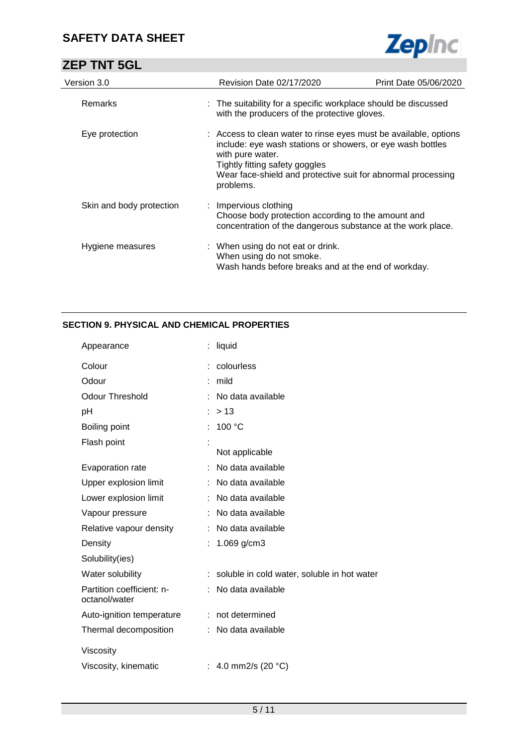## **ZEP TNT 5GL**



| Version 3.0              | <b>Revision Date 02/17/2020</b>                                                                                                                                                                                                                                   | Print Date 05/06/2020 |
|--------------------------|-------------------------------------------------------------------------------------------------------------------------------------------------------------------------------------------------------------------------------------------------------------------|-----------------------|
| Remarks                  | : The suitability for a specific workplace should be discussed<br>with the producers of the protective gloves.                                                                                                                                                    |                       |
| Eye protection           | : Access to clean water to rinse eyes must be available, options<br>include: eye wash stations or showers, or eye wash bottles<br>with pure water.<br>Tightly fitting safety goggles<br>Wear face-shield and protective suit for abnormal processing<br>problems. |                       |
| Skin and body protection | : Impervious clothing<br>Choose body protection according to the amount and<br>concentration of the dangerous substance at the work place.                                                                                                                        |                       |
| Hygiene measures         | : When using do not eat or drink.<br>When using do not smoke.<br>Wash hands before breaks and at the end of workday.                                                                                                                                              |                       |

#### **SECTION 9. PHYSICAL AND CHEMICAL PROPERTIES**

| Appearance                                 | liquid                                      |
|--------------------------------------------|---------------------------------------------|
| Colour                                     | colourless                                  |
| Odour                                      | mild                                        |
| <b>Odour Threshold</b>                     | No data available                           |
| рH                                         | > 13                                        |
| Boiling point                              | 100 °C                                      |
| Flash point                                | Not applicable                              |
| Evaporation rate                           | No data available                           |
| Upper explosion limit                      | No data available                           |
| Lower explosion limit                      | No data available                           |
| Vapour pressure                            | No data available                           |
| Relative vapour density                    | No data available                           |
| Density                                    | 1.069 g/cm3                                 |
| Solubility(ies)                            |                                             |
| Water solubility                           | soluble in cold water, soluble in hot water |
| Partition coefficient: n-<br>octanol/water | No data available                           |
| Auto-ignition temperature                  | not determined                              |
| Thermal decomposition                      | No data available                           |
| Viscosity                                  |                                             |
| Viscosity, kinematic                       | 4.0 mm2/s (20 °C)                           |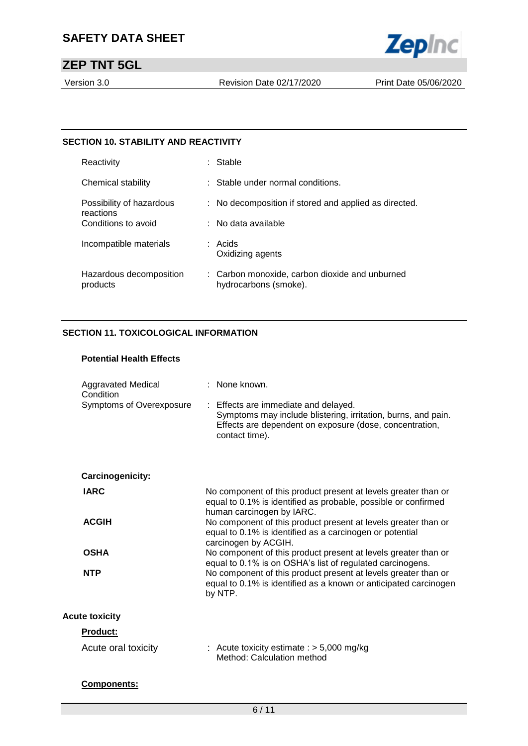

## **ZEP TNT 5GL**

Version 3.0 Revision Date 02/17/2020 Print Date 05/06/2020

#### **SECTION 10. STABILITY AND REACTIVITY**

| Reactivity                            | : Stable                                                                |
|---------------------------------------|-------------------------------------------------------------------------|
| Chemical stability                    | : Stable under normal conditions.                                       |
| Possibility of hazardous<br>reactions | : No decomposition if stored and applied as directed.                   |
| Conditions to avoid                   | $\therefore$ No data available                                          |
| Incompatible materials                | : Acids<br>Oxidizing agents                                             |
| Hazardous decomposition<br>products   | : Carbon monoxide, carbon dioxide and unburned<br>hydrocarbons (smoke). |

#### **SECTION 11. TOXICOLOGICAL INFORMATION**

#### **Potential Health Effects**

| <b>Aggravated Medical</b><br>Condition<br>Symptoms of Overexposure | $:$ None known.<br>: Effects are immediate and delayed.<br>Symptoms may include blistering, irritation, burns, and pain.<br>Effects are dependent on exposure (dose, concentration,<br>contact time). |
|--------------------------------------------------------------------|-------------------------------------------------------------------------------------------------------------------------------------------------------------------------------------------------------|
| Carcinogenicity:                                                   |                                                                                                                                                                                                       |
| <b>IARC</b>                                                        | No component of this product present at levels greater than or<br>equal to 0.1% is identified as probable, possible or confirmed<br>human carcinogen by IARC.                                         |
| <b>ACGIH</b>                                                       | No component of this product present at levels greater than or<br>equal to 0.1% is identified as a carcinogen or potential<br>carcinogen by ACGIH.                                                    |
| <b>OSHA</b>                                                        | No component of this product present at levels greater than or<br>equal to 0.1% is on OSHA's list of regulated carcinogens.                                                                           |
| <b>NTP</b>                                                         | No component of this product present at levels greater than or<br>equal to 0.1% is identified as a known or anticipated carcinogen<br>by NTP.                                                         |
| <b>Acute toxicity</b>                                              |                                                                                                                                                                                                       |
| <b>Product:</b>                                                    |                                                                                                                                                                                                       |
| Acute oral toxicity                                                | : Acute toxicity estimate : $> 5,000$ mg/kg<br>Method: Calculation method                                                                                                                             |
| <b>Components:</b>                                                 |                                                                                                                                                                                                       |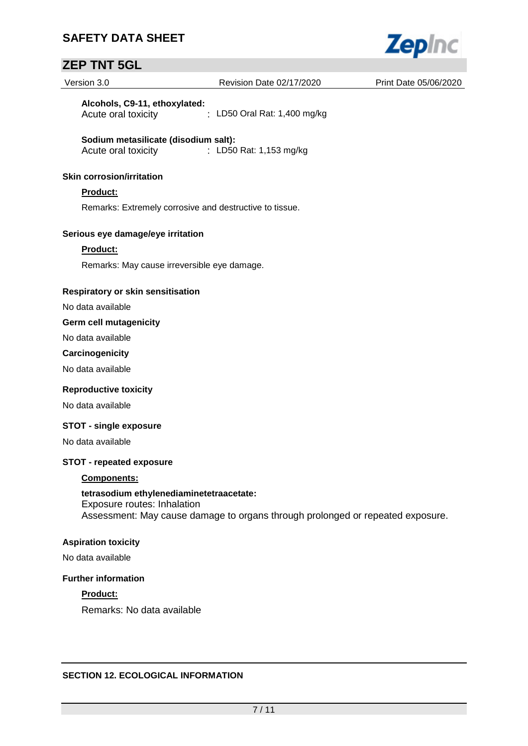

## **ZEP TNT 5GL**

| Version 3.0                                                             | Revision Date 02/17/2020                                                       | Print Date 05/06/2020 |
|-------------------------------------------------------------------------|--------------------------------------------------------------------------------|-----------------------|
| Alcohols, C9-11, ethoxylated:<br>Acute oral toxicity                    | : LD50 Oral Rat: 1,400 mg/kg                                                   |                       |
| Sodium metasilicate (disodium salt):<br>Acute oral toxicity             | : LD50 Rat: 1,153 mg/kg                                                        |                       |
| <b>Skin corrosion/irritation</b>                                        |                                                                                |                       |
| Product:                                                                |                                                                                |                       |
| Remarks: Extremely corrosive and destructive to tissue.                 |                                                                                |                       |
| Serious eye damage/eye irritation                                       |                                                                                |                       |
| Product:                                                                |                                                                                |                       |
| Remarks: May cause irreversible eye damage.                             |                                                                                |                       |
| Respiratory or skin sensitisation                                       |                                                                                |                       |
| No data available                                                       |                                                                                |                       |
| <b>Germ cell mutagenicity</b>                                           |                                                                                |                       |
| No data available                                                       |                                                                                |                       |
| Carcinogenicity                                                         |                                                                                |                       |
| No data available                                                       |                                                                                |                       |
| <b>Reproductive toxicity</b>                                            |                                                                                |                       |
| No data available                                                       |                                                                                |                       |
| <b>STOT - single exposure</b>                                           |                                                                                |                       |
| No data available                                                       |                                                                                |                       |
| <b>STOT - repeated exposure</b>                                         |                                                                                |                       |
| <b>Components:</b>                                                      |                                                                                |                       |
| tetrasodium ethylenediaminetetraacetate:<br>Exposure routes: Inhalation | Assessment: May cause damage to organs through prolonged or repeated exposure. |                       |
| <b>Aspiration toxicity</b>                                              |                                                                                |                       |
| No data available                                                       |                                                                                |                       |
| <b>Further information</b>                                              |                                                                                |                       |
| Product:                                                                |                                                                                |                       |
| Remarks: No data available                                              |                                                                                |                       |
|                                                                         |                                                                                |                       |
| <b>SECTION 12. ECOLOGICAL INFORMATION</b>                               |                                                                                |                       |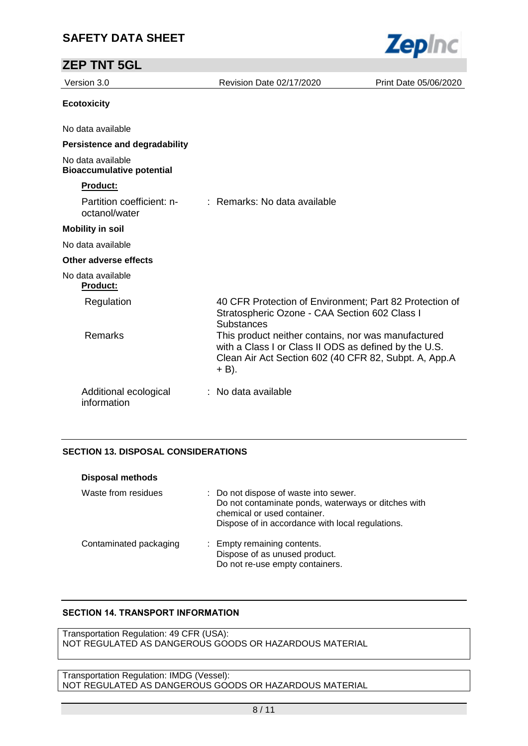| <b>ZEP TNT 5GL</b>                                    |                                                                                                                                                                                |                       |
|-------------------------------------------------------|--------------------------------------------------------------------------------------------------------------------------------------------------------------------------------|-----------------------|
| Version 3.0                                           | Revision Date 02/17/2020                                                                                                                                                       | Print Date 05/06/2020 |
| <b>Ecotoxicity</b>                                    |                                                                                                                                                                                |                       |
| No data available                                     |                                                                                                                                                                                |                       |
| <b>Persistence and degradability</b>                  |                                                                                                                                                                                |                       |
| No data available<br><b>Bioaccumulative potential</b> |                                                                                                                                                                                |                       |
| Product:                                              |                                                                                                                                                                                |                       |
| Partition coefficient: n-<br>octanol/water            | : Remarks: No data available                                                                                                                                                   |                       |
| <b>Mobility in soil</b>                               |                                                                                                                                                                                |                       |
| No data available                                     |                                                                                                                                                                                |                       |
| Other adverse effects                                 |                                                                                                                                                                                |                       |
| No data available<br><b>Product:</b>                  |                                                                                                                                                                                |                       |
| Regulation                                            | 40 CFR Protection of Environment; Part 82 Protection of<br>Stratospheric Ozone - CAA Section 602 Class I<br><b>Substances</b>                                                  |                       |
| Remarks                                               | This product neither contains, nor was manufactured<br>with a Class I or Class II ODS as defined by the U.S.<br>Clean Air Act Section 602 (40 CFR 82, Subpt. A, App.A<br>+ B). |                       |
| Additional ecological<br>information                  | No data available                                                                                                                                                              |                       |

**Zepinc** 

#### **SECTION 13. DISPOSAL CONSIDERATIONS**

| <b>Disposal methods</b> |                                                                                                                                                                                 |
|-------------------------|---------------------------------------------------------------------------------------------------------------------------------------------------------------------------------|
| Waste from residues     | : Do not dispose of waste into sewer.<br>Do not contaminate ponds, waterways or ditches with<br>chemical or used container.<br>Dispose of in accordance with local regulations. |
| Contaminated packaging  | : Empty remaining contents.<br>Dispose of as unused product.<br>Do not re-use empty containers.                                                                                 |

#### **SECTION 14. TRANSPORT INFORMATION**

Transportation Regulation: 49 CFR (USA): NOT REGULATED AS DANGEROUS GOODS OR HAZARDOUS MATERIAL

Transportation Regulation: IMDG (Vessel): NOT REGULATED AS DANGEROUS GOODS OR HAZARDOUS MATERIAL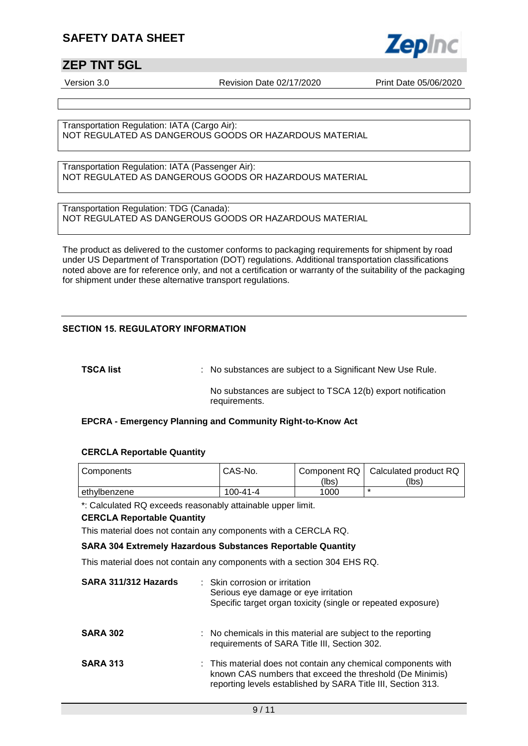## **ZEP TNT 5GL**

Version 3.0 Revision Date 02/17/2020 Print Date 05/06/2020

**Zepinc** 

Transportation Regulation: IATA (Cargo Air): NOT REGULATED AS DANGEROUS GOODS OR HAZARDOUS MATERIAL

Transportation Regulation: IATA (Passenger Air): NOT REGULATED AS DANGEROUS GOODS OR HAZARDOUS MATERIAL

Transportation Regulation: TDG (Canada): NOT REGULATED AS DANGEROUS GOODS OR HAZARDOUS MATERIAL

The product as delivered to the customer conforms to packaging requirements for shipment by road under US Department of Transportation (DOT) regulations. Additional transportation classifications noted above are for reference only, and not a certification or warranty of the suitability of the packaging for shipment under these alternative transport regulations.

#### **SECTION 15. REGULATORY INFORMATION**

**TSCA list Interpollent COV** : No substances are subject to a Significant New Use Rule.

No substances are subject to TSCA 12(b) export notification requirements.

#### **EPCRA - Emergency Planning and Community Right-to-Know Act**

#### **CERCLA Reportable Quantity**

| Components   | CAS-No.        | (lbs) | Component RQ   Calculated product RQ<br>(lbs) |
|--------------|----------------|-------|-----------------------------------------------|
| ethylbenzene | $100 - 41 - 4$ | 1000  |                                               |

\*: Calculated RQ exceeds reasonably attainable upper limit.

#### **CERCLA Reportable Quantity**

This material does not contain any components with a CERCLA RQ.

#### **SARA 304 Extremely Hazardous Substances Reportable Quantity**

This material does not contain any components with a section 304 EHS RQ.

| SARA 311/312 Hazards | : Skin corrosion or irritation<br>Serious eye damage or eye irritation<br>Specific target organ toxicity (single or repeated exposure)                                                    |
|----------------------|-------------------------------------------------------------------------------------------------------------------------------------------------------------------------------------------|
| <b>SARA 302</b>      | : No chemicals in this material are subject to the reporting<br>requirements of SARA Title III, Section 302.                                                                              |
| <b>SARA 313</b>      | : This material does not contain any chemical components with<br>known CAS numbers that exceed the threshold (De Minimis)<br>reporting levels established by SARA Title III, Section 313. |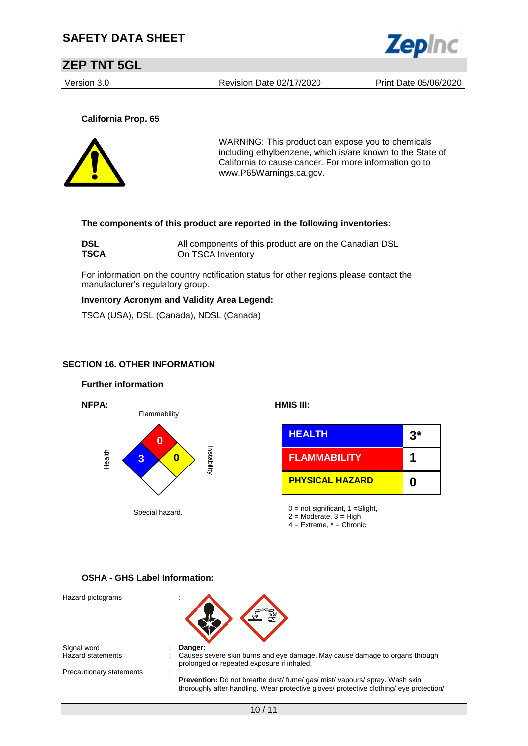

### **ZEP TNT 5GL**

Version 3.0 Revision Date 02/17/2020 Print Date 05/06/2020

**California Prop. 65**



WARNING: This product can expose you to chemicals including ethylbenzene, which is/are known to the State of California to cause cancer. For more information go to www.P65Warnings.ca.gov.

#### **The components of this product are reported in the following inventories:**

| <b>DSL</b>  | All components of this product are on the Canadian DSL |
|-------------|--------------------------------------------------------|
| <b>TSCA</b> | On TSCA Inventory                                      |

For information on the country notification status for other regions please contact the manufacturer's regulatory group.

#### **Inventory Acronym and Validity Area Legend:**

TSCA (USA), DSL (Canada), NDSL (Canada)

#### **SECTION 16. OTHER INFORMATION**



#### **OSHA - GHS Label Information:**